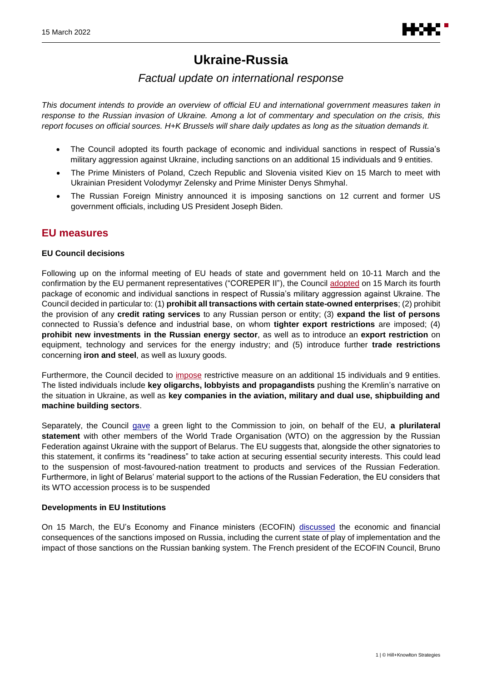

# **Ukraine-Russia**

# *Factual update on international response*

*This document intends to provide an overview of official EU and international government measures taken in response to the Russian invasion of Ukraine. Among a lot of commentary and speculation on the crisis, this report focuses on official sources. H+K Brussels will share daily updates as long as the situation demands it.*

- The Council adopted its fourth package of economic and individual sanctions in respect of Russia's military aggression against Ukraine, including sanctions on an additional 15 individuals and 9 entities.
- The Prime Ministers of Poland, Czech Republic and Slovenia visited Kiev on 15 March to meet with Ukrainian President Volodymyr Zelensky and Prime Minister Denys Shmyhal.
- The Russian Foreign Ministry announced it is imposing sanctions on 12 current and former US government officials, including US President Joseph Biden.

# **EU measures**

#### **EU Council decisions**

Following up on the informal meeting of EU heads of state and government held on 10-11 March and the confirmation by the EU permanent representatives ("COREPER II"), the Council [adopted](https://www.consilium.europa.eu/en/press/press-releases/2022/03/15/russia-s-military-aggression-against-ukraine-fourth-eu-package-of-sectoral-and-individual-measures/) on 15 March its fourth package of economic and individual sanctions in respect of Russia's military aggression against Ukraine. The Council decided in particular to: (1) **prohibit all transactions with certain state-owned enterprises**; (2) prohibit the provision of any **credit rating services** to any Russian person or entity; (3) **expand the list of persons**  connected to Russia's defence and industrial base, on whom **tighter export restrictions** are imposed; (4) **prohibit new investments in the Russian energy sector**, as well as to introduce an **export restriction** on equipment, technology and services for the energy industry; and (5) introduce further **trade restrictions** concerning **iron and steel**, as well as luxury goods.

Furthermore, the Council decided to [impose](https://www.consilium.europa.eu/en/press/press-releases/2022/03/15/fourth-package-of-sanctions-in-view-of-russia-s-military-aggression-against-ukraine-15-additional-individuals-and-9-entities-subject-to-eu-restrictive-measures/?utm_source=dsms-auto&utm_medium=email&utm_campaign=Fourth+package+of+sanctions+in+view+of+Russia%u2019s+military+aggression+against+Ukraine%3a+15+additional+individuals+and+9+entities+subject+to+EU+restrictive+measures) restrictive measure on an additional 15 individuals and 9 entities. The listed individuals include **key oligarchs, lobbyists and propagandists** pushing the Kremlin's narrative on the situation in Ukraine, as well as **key companies in the aviation, military and dual use, shipbuilding and machine building sectors**.

Separately, the Council [gave](https://www.consilium.europa.eu/en/press/press-releases/2022/03/15/russia-s-military-aggression-against-ukraine-fourth-eu-package-of-sectoral-and-individual-measures/) a green light to the Commission to join, on behalf of the EU, **a plurilateral statement** with other members of the World Trade Organisation (WTO) on the aggression by the Russian Federation against Ukraine with the support of Belarus. The EU suggests that, alongside the other signatories to this statement, it confirms its "readiness" to take action at securing essential security interests. This could lead to the suspension of most-favoured-nation treatment to products and services of the Russian Federation. Furthermore, in light of Belarus' material support to the actions of the Russian Federation, the EU considers that its WTO accession process is to be suspended

#### **Developments in EU Institutions**

On 15 March, the EU's Economy and Finance ministers (ECOFIN) [discussed](https://www.consilium.europa.eu/en/meetings/ecofin/2022/03/15/?utm_source=dsms-auto&utm_medium=email&utm_campaign=Economic+and+Financial+Affairs+Council) the economic and financial consequences of the sanctions imposed on Russia, including the current state of play of implementation and the impact of those sanctions on the Russian banking system. The French president of the ECOFIN Council, Bruno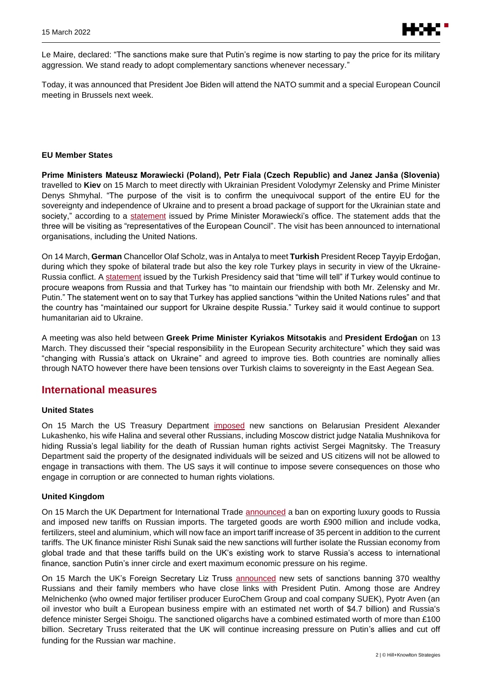Le Maire, declared: "The sanctions make sure that Putin's regime is now starting to pay the price for its military aggression. We stand ready to adopt complementary sanctions whenever necessary."

Today, it was announced that President Joe Biden will attend the NATO summit and a special European Council meeting in Brussels next week.

#### **EU Member States**

**Prime Ministers Mateusz Morawiecki (Poland), Petr Fiala (Czech Republic) and Janez Janša (Slovenia)** travelled to **Kiev** on 15 March to meet directly with Ukrainian President Volodymyr Zelensky and Prime Minister Denys Shmyhal. "The purpose of the visit is to confirm the unequivocal support of the entire EU for the sovereignty and independence of Ukraine and to present a broad package of support for the Ukrainian state and society," according to a [statement](https://www.gov.pl/web/primeminister/prime-ministers-visit-to-kyiv) issued by Prime Minister Morawiecki's office. The statement adds that the three will be visiting as "representatives of the European Council". The visit has been announced to international organisations, including the United Nations.

On 14 March, **German** Chancellor Olaf Scholz, was in Antalya to meet **Turkish** President Recep Tayyip Erdoğan, during which they spoke of bilateral trade but also the key role Turkey plays in security in view of the Ukraine-Russia conflict. [A statement](https://www.tccb.gov.tr/en/news/542/136032/-we-attach-importance-to-working-in-close-cooperation-with-germany-on-regional-matters-) issued by the Turkish Presidency said that "time will tell" if Turkey would continue to procure weapons from Russia and that Turkey has "to maintain our friendship with both Mr. Zelensky and Mr. Putin." The statement went on to say that Turkey has applied sanctions "within the United Nations rules" and that the country has "maintained our support for Ukraine despite Russia." Turkey said it would continue to support humanitarian aid to Ukraine.

A meeting was also held between **Greek Prime Minister Kyriakos Mitsotakis** and **President Erdoğan** on 13 March. They discussed their "special responsibility in the European Security architecture" which they said was "changing with Russia's attack on Ukraine" and agreed to improve ties. Both countries are nominally allies through NATO however there have been tensions over Turkish claims to sovereignty in the East Aegean Sea.

### **International measures**

#### **United States**

On 15 March the US Treasury Department [imposed](https://home.treasury.gov/news/press-releases/jy0654) new sanctions on Belarusian President Alexander Lukashenko, his wife Halina and several other Russians, including Moscow district judge Natalia Mushnikova for hiding Russia's legal liability for the death of Russian human rights activist Sergei Magnitsky. The Treasury Department said the property of the designated individuals will be seized and US citizens will not be allowed to engage in transactions with them. The US says it will continue to impose severe consequences on those who engage in corruption or are connected to human rights violations.

#### **United Kingdom**

On 15 March the UK Department for International Trade [announced](https://www.gov.uk/government/news/uk-announces-new-economic-sanctions-against-russia) a ban on exporting luxury goods to Russia and imposed new tariffs on Russian imports. The targeted goods are worth £900 million and include vodka, fertilizers, steel and aluminium, which will now face an import tariff increase of 35 percent in addition to the current tariffs. The UK finance minister Rishi Sunak said the new sanctions will further isolate the Russian economy from global trade and that these tariffs build on the UK's existing work to starve Russia's access to international finance, sanction Putin's inner circle and exert maximum economic pressure on his regime.

On 15 March the UK's Foreign Secretary Liz Truss **[announced](https://www.gov.uk/government/news/foreign-secretary-announces-historic-round-of-sanctions-15-march-2022)** new sets of sanctions banning 370 wealthy Russians and their family members who have close links with President Putin. Among those are Andrey Melnichenko (who owned major fertiliser producer EuroChem Group and coal company SUEK), Pyotr Aven (an oil investor who built a European business empire with an estimated net worth of \$4.7 billion) and Russia's defence minister Sergei Shoigu. The sanctioned oligarchs have a combined estimated worth of more than £100 billion. Secretary Truss reiterated that the UK will continue increasing pressure on Putin's allies and cut off funding for the Russian war machine.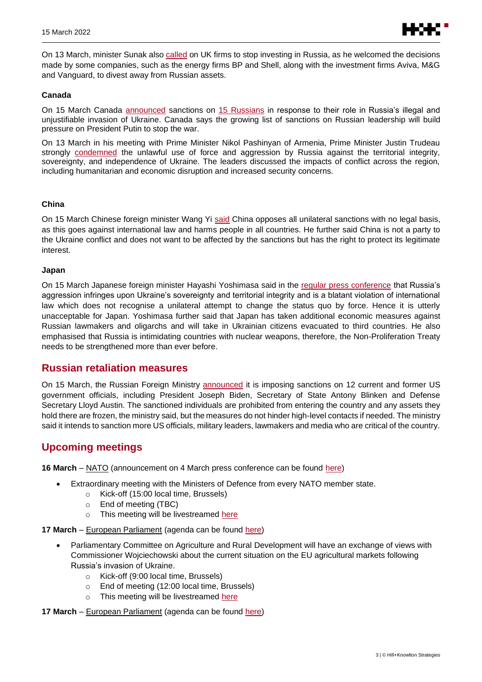

On 13 March, minister Sunak also [called](https://www.gov.uk/government/news/chancellor-calls-on-firms-to-stop-investing-in-russia) on UK firms to stop investing in Russia, as he welcomed the decisions made by some companies, such as the energy firms BP and Shell, along with the investment firms Aviva, M&G and Vanguard, to divest away from Russian assets.

#### **Canada**

On 15 March Canada [announced](https://www.canada.ca/en/global-affairs/news/2022/03/canada-imposes-additional-sanctions-on-enablers-of-president-putins-illegal-invasion-of-ukraine.html) sanctions on [15 Russians](https://www.international.gc.ca/world-monde/international_relations-relations_internationales/sanctions/russia_regulations-reglement_russie10.aspx?lang=eng) in response to their role in Russia's illegal and unjustifiable invasion of Ukraine. Canada says the growing list of sanctions on Russian leadership will build pressure on President Putin to stop the war.

On 13 March in his meeting with Prime Minister Nikol Pashinyan of Armenia, Prime Minister Justin Trudeau strongly [condemned](https://pm.gc.ca/en/news/readouts/2022/03/14/prime-minister-justin-trudeau-speaks-prime-minister-armenia-nikol) the unlawful use of force and aggression by Russia against the territorial integrity, sovereignty, and independence of Ukraine. The leaders discussed the impacts of conflict across the region, including humanitarian and economic disruption and increased security concerns.

#### **China**

On 15 March Chinese foreign minister Wang Yi [said](https://www.fmprc.gov.cn/mfa_eng/zxxx_662805/202203/t20220315_10651843.html#:~:text=On%20March%2014%2C%202022%2C%20State,Olympic%20Winter%20Game%20Beijing%202022.) China opposes all unilateral sanctions with no legal basis, as this goes against international law and harms people in all countries. He further said China is not a party to the Ukraine conflict and does not want to be affected by the sanctions but has the right to protect its legitimate interest.

#### **Japan**

On 15 March Japanese foreign minister Hayashi Yoshimasa said in the [regular press conference](https://www.youtube.com/watch?v=RNFP1UkO2e4) that Russia's aggression infringes upon Ukraine's sovereignty and territorial integrity and is a blatant violation of international law which does not recognise a unilateral attempt to change the status quo by force. Hence it is utterly unacceptable for Japan. Yoshimasa further said that Japan has taken additional economic measures against Russian lawmakers and oligarchs and will take in Ukrainian citizens evacuated to third countries. He also emphasised that Russia is intimidating countries with nuclear weapons, therefore, the Non-Proliferation Treaty needs to be strengthened more than ever before.

# **Russian retaliation measures**

On 15 March, the Russian Foreign Ministry [announced](https://mid.ru/ru/foreign_policy/news/1804365/) it is imposing sanctions on 12 current and former US government officials, including President Joseph Biden, Secretary of State Antony Blinken and Defense Secretary Lloyd Austin. The sanctioned individuals are prohibited from entering the country and any assets they hold there are frozen, the ministry said, but the measures do not hinder high-level contacts if needed. The ministry said it intends to sanction more US officials, military leaders, lawmakers and media who are critical of the country.

# **Upcoming meetings**

**16 March** – NATO (announcement on 4 March press conference can be found [here\)](https://www.nato.int/cps/en/natohq/opinions_192739.htm)

- Extraordinary meeting with the Ministers of Defence from every NATO member state.
	- o Kick-off (15:00 local time, Brussels)
	- o End of meeting (TBC)
	- o This meeting will be livestreamed here
- **17 March** European Parliament (agenda can be found [here\)](https://www.europarl.europa.eu/meetdocs/2014_2019/plmrep/COMMITTEES/AGRI/OJ/2022/03-16/1251507EN.pdf)
	- Parliamentary Committee on Agriculture and Rural Development will have an exchange of views with Commissioner Wojciechowski about the current situation on the EU agricultural markets following Russia's invasion of Ukraine.
		- o Kick-off (9:00 local time, Brussels)
		- o End of meeting (12:00 local time, Brussels)
		- o This meeting will be livestreamed [here](https://multimedia.europarl.europa.eu/en/webstreaming?d=20220317&lv=COMMITTEES)
- **17 March** European Parliament (agenda can be found [here\)](https://emeeting.europarl.europa.eu/emeeting/committee/en/agenda/202203/EMPL?meeting=CJ21-2022-0317_1&session=03-17-09-00)